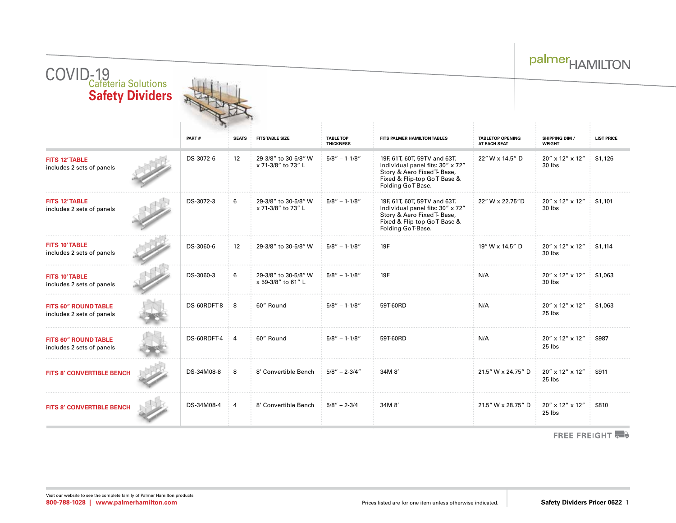| COVID-19<br>Cafeteria Solutions<br><b>Safety Dividers</b> |             |              |                                            |                                      |                                                                                                                                                      |                                         | <b>FIAIVILLI VIN</b>            |                   |  |
|-----------------------------------------------------------|-------------|--------------|--------------------------------------------|--------------------------------------|------------------------------------------------------------------------------------------------------------------------------------------------------|-----------------------------------------|---------------------------------|-------------------|--|
|                                                           | PART#       | <b>SEATS</b> | <b>FITS TABLE SIZE</b>                     | <b>TABLE TOP</b><br><b>THICKNESS</b> | FITS PALMER HAMILTON TABLES                                                                                                                          | <b>TABLETOP OPENING</b><br>AT EACH SEAT | SHIPPING DIM /<br><b>WEIGHT</b> | <b>LIST PRICE</b> |  |
| <b>FITS 12' TABLE</b><br>includes 2 sets of panels        | DS-3072-6   | 12           | 29-3/8" to 30-5/8" W<br>x 71-3/8" to 73" L | $5/8" - 1-1/8"$                      | 19F, 61T, 60T, 59TV and 63T.<br>Individual panel fits: 30" x 72"<br>Story & Aero Fixed T- Base,<br>Fixed & Flip-top GoT Base &<br>Folding Go T-Base. | 22" W x 14.5" D                         | 20" x 12" x 12"<br>30 lbs       | \$1,126           |  |
| <b>FITS 12' TABLE</b><br>includes 2 sets of panels        | DS-3072-3   | 6            | 29-3/8" to 30-5/8" W<br>x 71-3/8" to 73" L | $5/8" - 1-1/8"$                      | 19F, 61T, 60T, 59TV and 63T.<br>Individual panel fits: 30" x 72"<br>Story & Aero Fixed T- Base,<br>Fixed & Flip-top GoT Base &<br>Folding Go T-Base. | 22" W x 22.75"D                         | 20" x 12" x 12"<br>30 lbs       | \$1,101           |  |
| <b>FITS 10' TABLE</b><br>includes 2 sets of panels        | DS-3060-6   | 12           | 29-3/8" to 30-5/8" W                       | $5/8" - 1-1/8"$                      | 19F                                                                                                                                                  | 19" W x 14.5" D                         | 20" x 12" x 12"<br>30 lbs       | \$1,114           |  |
| <b>FITS 10' TABLE</b><br>includes 2 sets of panels        | DS-3060-3   | 6            | 29-3/8" to 30-5/8" W<br>x 59-3/8" to 61" L | $5/8" - 1-1/8"$                      | 19F                                                                                                                                                  | N/A                                     | 20" x 12" x 12"<br>30 lbs       | \$1,063           |  |
| <b>FITS 60" ROUND TABLE</b><br>includes 2 sets of panels  | DS-60RDFT-8 | 8            | 60" Round                                  | $5/8" - 1-1/8"$                      | 59T-60RD                                                                                                                                             | N/A                                     | 20" x 12" x 12"<br>25 lbs       | \$1,063           |  |
| <b>FITS 60" ROUND TABLE</b><br>includes 2 sets of panels  | DS-60RDFT-4 | 4            | 60" Round                                  | $5/8" - 1-1/8"$                      | 59T-60RD                                                                                                                                             | N/A                                     | 20" x 12" x 12"<br>25 lbs       | \$987             |  |
| FITS 8' CONVERTIBLE BENCH                                 | DS-34M08-8  | 8            | 8' Convertible Bench                       | $5/8'' - 2-3/4''$                    | 34M 8'                                                                                                                                               | 21.5" W x 24.75" D                      | 20" x 12" x 12"<br>25 lbs       | \$911             |  |
| FITS 8' CONVERTIBLE BENCH                                 | DS-34M08-4  | 4            | 8' Convertible Bench                       | $5/8" - 2-3/4$                       | 34M 8'                                                                                                                                               | 21.5" W x 28.75" D                      | 20" x 12" x 12"<br>$25$ lbs     | \$810             |  |

FREE FREIGHT